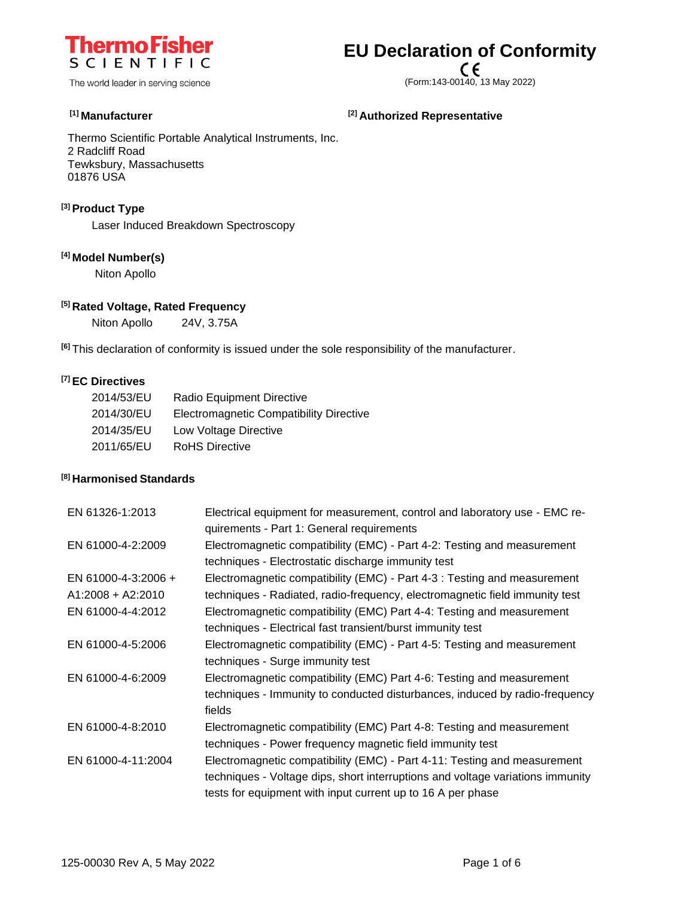

# **EU Declaration of Conformity**  (Form:143-00140, 13 May 2022)

## **[1] Manufacturer**

## **[2] Authorized Representative**

Thermo Scientific Portable Analytical Instruments, Inc. 2 Radcliff Road Tewksbury, Massachusetts 01876 USA

## **[3] Product Type**

Laser Induced Breakdown Spectroscopy

### **[4] Model Number(s)**

Niton Apollo

## **[5] Rated Voltage, Rated Frequency**

Niton Apollo 24V, 3.75A

**[6]** This declaration of conformity is issued under the sole responsibility of the manufacturer.

### **[7] EC Directives**

| 2014/53/EU | Radio Equipment Directive                      |
|------------|------------------------------------------------|
| 2014/30/EU | <b>Electromagnetic Compatibility Directive</b> |
| 2014/35/EU | Low Voltage Directive                          |
| 2011/65/EU | <b>RoHS Directive</b>                          |

### **[8] Harmonised Standards**

| EN 61326-1:2013     | Electrical equipment for measurement, control and laboratory use - EMC re-<br>quirements - Part 1: General requirements       |
|---------------------|-------------------------------------------------------------------------------------------------------------------------------|
| EN 61000-4-2:2009   | Electromagnetic compatibility (EMC) - Part 4-2: Testing and measurement<br>techniques - Electrostatic discharge immunity test |
| EN 61000-4-3:2006 + | Electromagnetic compatibility (EMC) - Part 4-3 : Testing and measurement                                                      |
| $A1:2008 + A2:2010$ | techniques - Radiated, radio-frequency, electromagnetic field immunity test                                                   |
| EN 61000-4-4:2012   | Electromagnetic compatibility (EMC) Part 4-4: Testing and measurement                                                         |
|                     | techniques - Electrical fast transient/burst immunity test                                                                    |
| EN 61000-4-5:2006   | Electromagnetic compatibility (EMC) - Part 4-5: Testing and measurement                                                       |
|                     | techniques - Surge immunity test                                                                                              |
| EN 61000-4-6:2009   | Electromagnetic compatibility (EMC) Part 4-6: Testing and measurement                                                         |
|                     | techniques - Immunity to conducted disturbances, induced by radio-frequency                                                   |
|                     | fields                                                                                                                        |
| EN 61000-4-8:2010   | Electromagnetic compatibility (EMC) Part 4-8: Testing and measurement                                                         |
|                     | techniques - Power frequency magnetic field immunity test                                                                     |
| EN 61000-4-11:2004  | Electromagnetic compatibility (EMC) - Part 4-11: Testing and measurement                                                      |
|                     | techniques - Voltage dips, short interruptions and voltage variations immunity                                                |
|                     | tests for equipment with input current up to 16 A per phase                                                                   |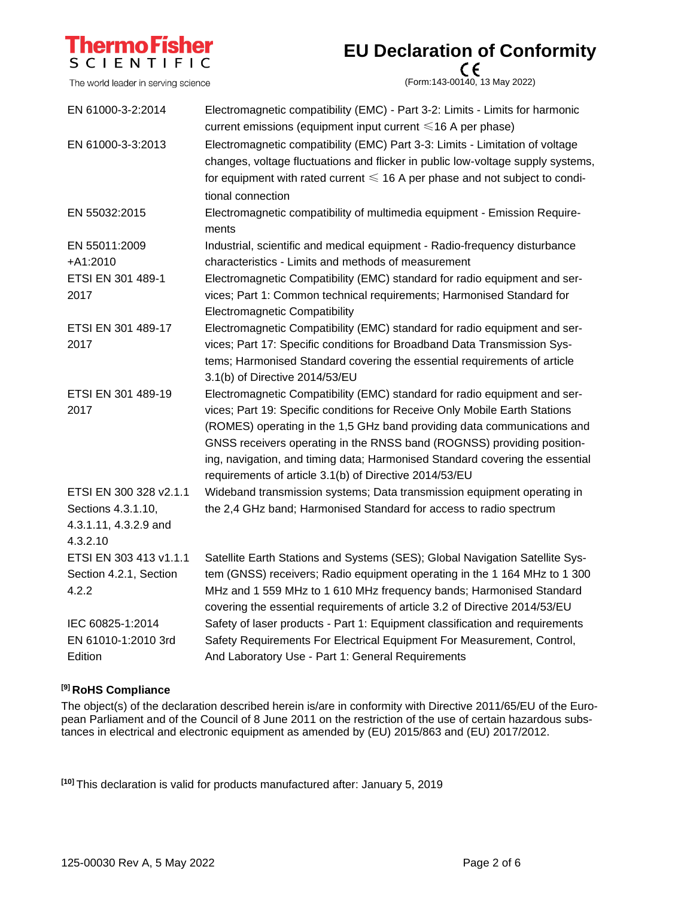## **ThermoFisher SCIENTIFIC**

The world leader in serving science

**EU Declaration of Conformity** 

(Form:143-00140, 13 May 2022)

| EN 61000-3-2:2014                                                                 | Electromagnetic compatibility (EMC) - Part 3-2: Limits - Limits for harmonic<br>current emissions (equipment input current $\leq 16$ A per phase)                                                                                                                                                                                                                                                                                                      |
|-----------------------------------------------------------------------------------|--------------------------------------------------------------------------------------------------------------------------------------------------------------------------------------------------------------------------------------------------------------------------------------------------------------------------------------------------------------------------------------------------------------------------------------------------------|
| EN 61000-3-3:2013                                                                 | Electromagnetic compatibility (EMC) Part 3-3: Limits - Limitation of voltage<br>changes, voltage fluctuations and flicker in public low-voltage supply systems,<br>for equipment with rated current $\leq 16$ A per phase and not subject to condi-<br>tional connection                                                                                                                                                                               |
| EN 55032:2015                                                                     | Electromagnetic compatibility of multimedia equipment - Emission Require-<br>ments                                                                                                                                                                                                                                                                                                                                                                     |
| EN 55011:2009<br>$+A1:2010$                                                       | Industrial, scientific and medical equipment - Radio-frequency disturbance<br>characteristics - Limits and methods of measurement                                                                                                                                                                                                                                                                                                                      |
| ETSI EN 301 489-1<br>2017                                                         | Electromagnetic Compatibility (EMC) standard for radio equipment and ser-<br>vices; Part 1: Common technical requirements; Harmonised Standard for<br><b>Electromagnetic Compatibility</b>                                                                                                                                                                                                                                                             |
| ETSI EN 301 489-17<br>2017                                                        | Electromagnetic Compatibility (EMC) standard for radio equipment and ser-<br>vices; Part 17: Specific conditions for Broadband Data Transmission Sys-<br>tems; Harmonised Standard covering the essential requirements of article<br>3.1(b) of Directive 2014/53/EU                                                                                                                                                                                    |
| ETSI EN 301 489-19<br>2017                                                        | Electromagnetic Compatibility (EMC) standard for radio equipment and ser-<br>vices; Part 19: Specific conditions for Receive Only Mobile Earth Stations<br>(ROMES) operating in the 1,5 GHz band providing data communications and<br>GNSS receivers operating in the RNSS band (ROGNSS) providing position-<br>ing, navigation, and timing data; Harmonised Standard covering the essential<br>requirements of article 3.1(b) of Directive 2014/53/EU |
| ETSI EN 300 328 v2.1.1<br>Sections 4.3.1.10,<br>4.3.1.11, 4.3.2.9 and<br>4.3.2.10 | Wideband transmission systems; Data transmission equipment operating in<br>the 2,4 GHz band; Harmonised Standard for access to radio spectrum                                                                                                                                                                                                                                                                                                          |
| ETSI EN 303 413 v1.1.1<br>Section 4.2.1, Section<br>4.2.2                         | Satellite Earth Stations and Systems (SES); Global Navigation Satellite Sys-<br>tem (GNSS) receivers; Radio equipment operating in the 1 164 MHz to 1 300<br>MHz and 1 559 MHz to 1 610 MHz frequency bands; Harmonised Standard<br>covering the essential requirements of article 3.2 of Directive 2014/53/EU                                                                                                                                         |
| IEC 60825-1:2014<br>EN 61010-1:2010 3rd<br>Edition                                | Safety of laser products - Part 1: Equipment classification and requirements<br>Safety Requirements For Electrical Equipment For Measurement, Control,<br>And Laboratory Use - Part 1: General Requirements                                                                                                                                                                                                                                            |

## **[9] RoHS Compliance**

The object(s) of the declaration described herein is/are in conformity with Directive 2011/65/EU of the European Parliament and of the Council of 8 June 2011 on the restriction of the use of certain hazardous substances in electrical and electronic equipment as amended by (EU) 2015/863 and (EU) 2017/2012.

**[10]** This declaration is valid for products manufactured after: January 5, 2019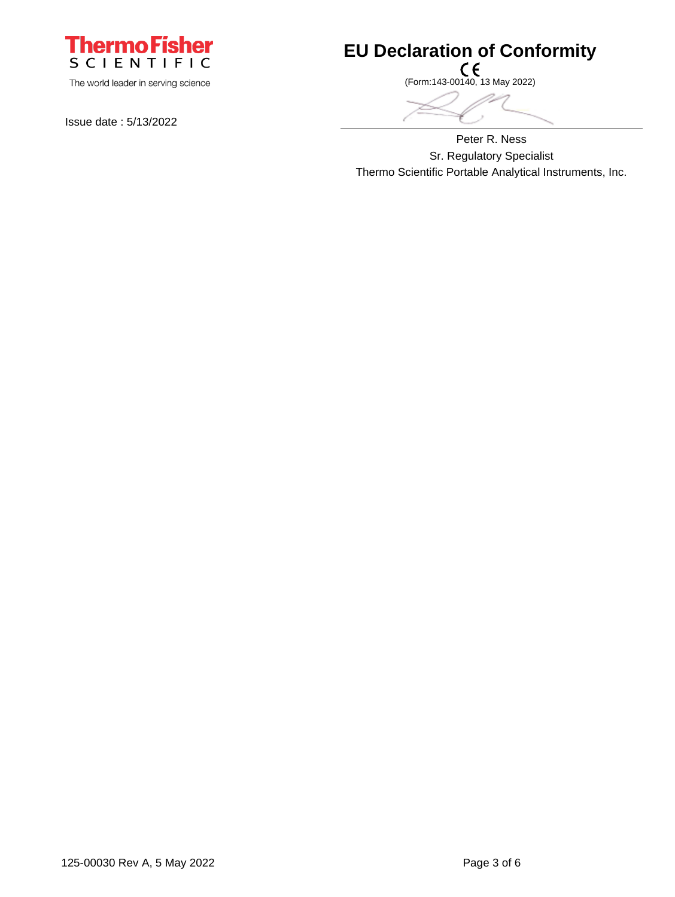

Issue date : 5/13/2022

## **EU Declaration of Conformity**  (Form:143-00140, 13 May 2022)

Peter R. Ness Sr. Regulatory Specialist Thermo Scientific Portable Analytical Instruments, Inc.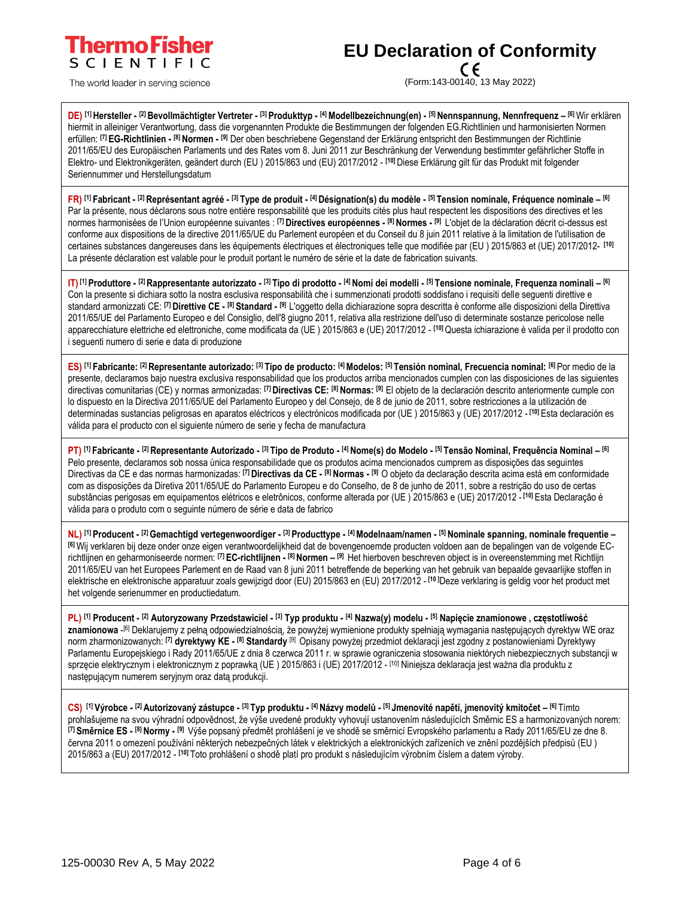

# **EU Declaration of Conformity**  (Form:143-00140, 13 May 2022)

<mark>DE)</mark> <sup>[1]</sup> Hersteller - <sup>[2]</sup> Bevollmächtigter Vertreter - <sup>[3]</sup> Produkttyp - <sup>[4]</sup> Modellbezeichnung(en) - <sup>[5]</sup> Nennspannung, Nennfrequenz – <sup>[6]</sup> Wir erklären hiermit in alleiniger Verantwortung, dass die vorgenannten Produkte die Bestimmungen der folgenden EG.Richtlinien und harmonisierten Normen erfüllen: **[7] EG-Richtlinien - [8] Normen - [9]** Der oben beschriebene Gegenstand der Erklärung entspricht den Bestimmungen der Richtlinie 2011/65/EU des Europäischen Parlaments und des Rates vom 8. Juni 2011 zur Beschränkung der Verwendung bestimmter gefährlicher Stoffe in Elektro- und Elektronikgeräten, geändert durch (EU ) 2015/863 und (EU) 2017/2012 - **[10]** Diese Erklärung gilt für das Produkt mit folgender Seriennummer und Herstellungsdatum

<mark>FR)</mark> <sup>[1]</sup> Fabricant - <sup>[2]</sup> Représentant agréé - <sup>[3]</sup> Type de produit - <sup>[4]</sup> Désignation(s) du modèle - <sup>[5]</sup> Tension nominale, Fréquence nominale – <sup>[6]</sup> Par la présente, nous déclarons sous notre entière responsabilité que les produits cités plus haut respectent les dispositions des directives et les normes harmonisées de l'Union européenne suivantes : <sup>[7]</sup> Directives européennes - <sup>[8]</sup> Normes - <sup>[9]</sup> L'objet de la déclaration décrit ci-dessus est conforme aux dispositions de la directive 2011/65/UE du Parlement européen et du Conseil du 8 juin 2011 relative à la limitation de l'utilisation de certaines substances dangereuses dans les équipements électriques et électroniques telle que modifiée par (EU ) 2015/863 et (UE) 2017/2012- **[10]**  La présente déclaration est valable pour le produit portant le numéro de série et la date de fabrication suivants.

<mark>IT)[1] Produttore - [2] Rappresentante autorizzato - [3] Tipo di prodotto - [4] Nomi dei modelli - [5] Tensione nominale, Frequenza nominali – [6]</mark> Con la presente si dichiara sotto la nostra esclusiva responsabilità che i summenzionati prodotti soddisfano i requisiti delle seguenti direttive e standard armonizzati CE: **[7] Direttive CE - [8] Standard - [9]** L'oggetto della dichiarazione sopra descritta è conforme alle disposizioni della Direttiva 2011/65/UE del Parlamento Europeo e del Consiglio, dell'8 giugno 2011, relativa alla restrizione dell'uso di determinate sostanze pericolose nelle apparecchiature elettriche ed elettroniche, come modificata da (UE ) 2015/863 e (UE) 2017/2012 - **[10]**Questa ichiarazione è valida per il prodotto con i seguenti numero di serie e data di produzione

ES) [1] Fabricante: [2] Representante autorizado: [3] Tipo de producto: [4] Modelos: [5] Tensión nominal, Frecuencia nominal: [6] Por medio de la presente, declaramos bajo nuestra exclusiva responsabilidad que los productos arriba mencionados cumplen con las disposiciones de las siguientes directivas comunitarias (CE) y normas armonizadas: **[7] Directivas CE: [8] Normas: [9]** El objeto de la declaración descrito anteriormente cumple con lo dispuesto en la Directiva 2011/65/UE del Parlamento Europeo y del Consejo, de 8 de junio de 2011, sobre restricciones a la utilización de determinadas sustancias peligrosas en aparatos eléctricos y electrónicos modificada por (UE ) 2015/863 y (UE) 2017/2012 - **[10]** Esta declaración es válida para el producto con el siguiente número de serie y fecha de manufactura

<mark>PT) [1] Fabricante - [2] Representante Autorizado - [3] Tipo de Produto - [4] Nome(s) do Modelo - [5] Tensão Nominal, Frequência Nominal – [6]</mark> Pelo presente, declaramos sob nossa única responsabilidade que os produtos acima mencionados cumprem as disposições das seguintes Directivas da CE e das normas harmonizadas: **[7] Directivas da CE - [8] Normas - [9]** O objeto da declaração descrita acima está em conformidade com as disposições da Diretiva 2011/65/UE do Parlamento Europeu e do Conselho, de 8 de junho de 2011, sobre a restrição do uso de certas substâncias perigosas em equipamentos elétricos e eletrônicos, conforme alterada por (UE ) 2015/863 e (UE) 2017/2012 - **[10]** Esta Declaração é válida para o produto com o seguinte número de série e data de fabrico

**NL)** <sup>[1]</sup> Producent - <sup>[2]</sup> Gemachtigd vertegenwoordiger - <sup>[3]</sup> Producttype - <sup>[4]</sup> Modelnaam/namen - <sup>[5]</sup> Nominale spanning, nominale frequentie – **[6]**Wij verklaren bij deze onder onze eigen verantwoordelijkheid dat de bovengenoemde producten voldoen aan de bepalingen van de volgende ECrichtlijnen en geharmoniseerde normen: **[7] EC-richtlijnen - [8] Normen – [9]** Het hierboven beschreven object is in overeenstemming met Richtlijn 2011/65/EU van het Europees Parlement en de Raad van 8 juni 2011 betreffende de beperking van het gebruik van bepaalde gevaarlijke stoffen in elektrische en elektronische apparatuur zoals gewijzigd door (EU) 2015/863 en (EU) 2017/2012 - **[10 ]**Deze verklaring is geldig voor het product met het volgende serienummer en productiedatum.

**PL) [1] Producent - [2] Autoryzowany Przedstawiciel - [3] Typ produktu - [4] Nazwa(y) modelu - [5] Napięcie znamionowe , częstotliwość znamionowa** - [6] Deklarujemy z pełną odpowiedzialnością, że powyżej wymienione produkty spełniają wymagania następujących dyrektyw WE oraz norm zharmonizowanych: **[7] dyrektywy KE - [8] Standardy** [9] Opisany powyżej przedmiot deklaracji jest zgodny z postanowieniami Dyrektywy Parlamentu Europejskiego i Rady 2011/65/UE z dnia 8 czerwca 2011 r. w sprawie ograniczenia stosowania niektórych niebezpiecznych substancji w sprzęcie elektrycznym i elektronicznym z poprawką (UE ) 2015/863 i (UE) 2017/2012 - [10] Niniejsza deklaracja jest ważna dla produktu z następującym numerem seryjnym oraz datą produkcji.

CS) [1] Výrobce - [2] Autorizovaný zástupce - [3] Typ produktu - [4] Názvy modelů - [5] Jmenovité napětí, jmenovitý kmitočet – [6] Tímto prohlašujeme na svou výhradní odpovědnost, že výše uvedené produkty vyhovují ustanovením následujících Směrnic ES a harmonizovaných norem: **[7] Směrnice ES - [8] Normy - [9]** Výše popsaný předmět prohlášení je ve shodě se směrnicí Evropského parlamentu a Rady 2011/65/EU ze dne 8. června 2011 o omezení používání některých nebezpečných látek v elektrických a elektronických zařízeních ve znění pozdějších předpisů (EU ) 2015/863 a (EU) 2017/2012 - **[10]** Toto prohlášení o shodě platí pro produkt s následujícím výrobním číslem a datem výroby.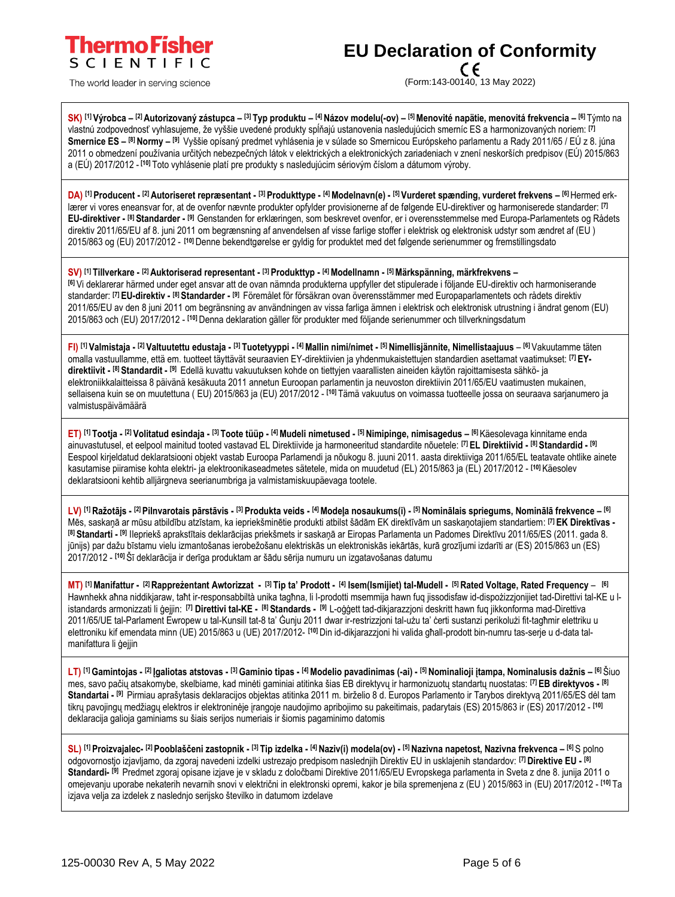

# **EU Declaration of Conformity**  (Form:143-00140, 13 May 2022)

<mark>SK)</mark> <sup>[1]</sup> Výrobca – <sup>[2]</sup> Autorizovaný zástupca – <sup>[3]</sup> Typ produktu – <sup>[4]</sup> Názov modelu(-ov) – <sup>[5]</sup> Menovité napätie, menovitá frekvencia – <sup>[6]</sup> Týmto na vlastnú zodpovednosť vyhlasujeme, že vyššie uvedené produkty spĺňajú ustanovenia nasledujúcich smerníc ES a harmonizovaných noriem: **[7] Smernice ES – [8] Normy – [9]** Vyššie opísaný predmet vyhlásenia je v súlade so Smernicou Európskeho parlamentu a Rady 2011/65 / EÚ z 8. júna 2011 o obmedzení používania určitých nebezpečných látok v elektrických a elektronických zariadeniach v znení neskorších predpisov (EÚ) 2015/863 a (EÚ) 2017/2012 - **[10]** Toto vyhlásenie platí pre produkty s nasledujúcim sériovým číslom a dátumom výroby.

<mark>DA) [1] Producent - [2] Autoriseret repræsentant - [3] Produkttype - [4] Modelnavn(e) - [5] Vurderet spænding, vurderet frekvens – [6] Hermed erk-</mark> lærer vi vores eneansvar for, at de ovenfor nævnte produkter opfylder provisionerne af de følgende EU-direktiver og harmoniserede standarder: **[7]**  EU-direktiver - <sup>[8]</sup> Standarder - <sup>[9]</sup> Genstanden for erklæringen, som beskrevet ovenfor, er i overensstemmelse med Europa-Parlamentets og Rådets direktiv 2011/65/EU af 8. juni 2011 om begrænsning af anvendelsen af visse farlige stoffer i elektrisk og elektronisk udstyr som ændret af (EU) 2015/863 og (EU) 2017/2012 - **[10]** Denne bekendtgørelse er gyldig for produktet med det følgende serienummer og fremstillingsdato

**SV) [1] Tillverkare - [2] Auktoriserad representant - [3] Produkttyp - [4] Modellnamn - [5] Märkspänning, märkfrekvens – [6]** Vi deklarerar härmed under eget ansvar att de ovan nämnda produkterna uppfyller det stipulerade i följande EU-direktiv och harmoniserande standarder: <sup>[7]</sup> **EU-direktiv - <sup>[8]</sup> Standarder -** <sup>[9]</sup> Föremålet för försäkran ovan överensstämmer med Europaparlamentets och rådets direktiv 2011/65/EU av den 8 juni 2011 om begränsning av användningen av vissa farliga ämnen i elektrisk och elektronisk utrustning i ändrat genom (EU) 2015/863 och (EU) 2017/2012 - **[10]** Denna deklaration gäller för produkter med följande serienummer och tillverkningsdatum

<mark>FI)</mark> [1] Valmistaja - [2] Valtuutettu edustaja - [3] Tuotetyyppi - [4] Mallin nimi/nimet - [5] Nimellisjännite, Nimellistaajuus – [6] Vakuutamme täten omalla vastuullamme, että em. tuotteet täyttävät seuraavien EY-direktiivien ja yhdenmukaistettujen standardien asettamat vaatimukset: **[7] EYdirektiivit - [8] Standardit - [9]** Edellä kuvattu vakuutuksen kohde on tiettyjen vaarallisten aineiden käytön rajoittamisesta sähkö- ja elektroniikkalaitteissa 8 päivänä kesäkuuta 2011 annetun Euroopan parlamentin ja neuvoston direktiivin 2011/65/EU vaatimusten mukainen, sellaisena kuin se on muutettuna ( EU) 2015/863 ja (EU) 2017/2012 - <sup>[10]</sup> Tämä vakuutus on voimassa tuotteelle jossa on seuraava sarjanumero ja valmistuspäivämäärä

ET) <sup>[1]</sup> Tootja - <sup>[2]</sup> Volitatud esindaja - <sup>[3]</sup> Toote tüüp - <sup>[4]</sup> Mudeli nimetused - <sup>[5]</sup> Nimipinge, nimisagedus – <sup>[6]</sup> Käesolevaga kinnitame enda ainuvastutusel, et eelpool mainitud tooted vastavad EL Direktiivide ja harmoneeritud standardite nõuetele: **[7] EL Direktiivid - [8] Standardid - [9]** Eespool kirjeldatud deklaratsiooni objekt vastab Euroopa Parlamendi ja nõukogu 8. juuni 2011. aasta direktiiviga 2011/65/EL teatavate ohtlike ainete kasutamise piiramise kohta elektri- ja elektroonikaseadmetes sätetele, mida on muudetud (EL) 2015/863 ja (EL) 2017/2012 - **[10]** Käesolev deklaratsiooni kehtib alljärgneva seerianumbriga ja valmistamiskuupäevaga tootele.

<mark>LV) <sup>[1]</sup> Ražotājs - <sup>[2]</sup> Pilnvarotais pārstāvis - <sup>[3]</sup> Produkta veids - <sup>[4]</sup> Modeļa nosaukums(i) - <sup>[5]</sup> Nominālais spriegums, Nominālā frekvence – <sup>[6]</sup></mark> Mēs, saskaņā ar mūsu atbildību atzīstam, ka iepriekšminētie produkti atbilst šādām EK direktīvām un saskaņotajiem standartiem: **[7] EK Direktīvas - [8] Standarti - [9]** IIepriekš aprakstītais deklarācijas priekšmets ir saskaņā ar Eiropas Parlamenta un Padomes Direktīvu 2011/65/ES (2011. gada 8. jūnijs) par dažu bīstamu vielu izmantošanas ierobežošanu elektriskās un elektroniskās iekārtās, kurā grozījumi izdarīti ar (ES) 2015/863 un (ES) 2017/2012 - **[10]** Šī deklarācija ir derīga produktam ar šādu sērija numuru un izgatavošanas datumu

<mark>MT) [1] Manifattur - 「2</mark>] Rappreżentant Awtorizzat - 「3] Tip ta' Prodott- 「4] Isem(Ismijiet) tal-Mudell- 「5] Rated Voltage, Rated Frequency ― 「<sup>6]</sup> Hawnhekk aħna niddikjaraw, taħt ir-responsabbiltà unika tagħna, li l-prodotti msemmija hawn fuq jissodisfaw id-dispożizzjonijiet tad-Direttivi tal-KE u listandards armonizzati li ġejjin: <sup>[7]</sup> Di**rettivi tal-KE - <sup>[8]</sup> Standards - <sup>[9]</sup> L**-oġġett tad-dikjarazzjoni deskritt hawn fuq jikkonforma mad-Direttiva 2011/65/UE tal-Parlament Ewropew u tal-Kunsill tat-8 ta' Ġunju 2011 dwar ir-restrizzjoni tal-użu ta' ċerti sustanzi perikolużi fit-tagħmir elettriku u elettroniku kif emendata minn (UE) 2015/863 u (UE) 2017/2012- <sup>[10]</sup> Din id-dikjarazzjoni hi valida għall-prodott bin-numru tas-serje u d-data talmanifattura li ġejjin

<mark>LT) <sup>[1]</sup> Gamintojas - <sup>[2]</sup> Įgaliotas atstovas - <sup>[3]</sup> Gaminio tipas - <sup>[4]</sup> Modelio pavadinimas (-ai) - <sup>[5]</sup> Nominalioji įtampa, Nominalusis dažnis – <sup>[6]</sup> Šiuo</mark> mes, savo pačių atsakomybe, skelbiame, kad minėti gaminiai atitinka šias EB direktyvų ir harmonizuotų standartų nuostatas: **[7] EB direktyvos - [8] Standartai - [9]** Pirmiau aprašytasis deklaracijos objektas atitinka 2011 m. birželio 8 d. Europos Parlamento ir Tarybos direktyvą 2011/65/ES dėl tam tikrų pavojingų medžiagų elektros ir elektroninėje įrangoje naudojimo apribojimo su pakeitimais, padarytais (ES) 2015/863 ir (ES) 2017/2012 - **[10]**  deklaracija galioja gaminiams su šiais serijos numeriais ir šiomis pagaminimo datomis

<mark>SL) [1] Proizvajalec- [2] Pooblaščeni zastopnik - [3] Tip izdelka - [4] Naziv(i) modela(ov) - [5] Nazivna napetost, Nazivna frekvenca – [6] S polno</mark> odgovornostjo izjavljamo, da zgoraj navedeni izdelki ustrezajo predpisom naslednjih Direktiv EU in usklajenih standardov: **[7] Direktive EU - [8] Standardi- [9]** Predmet zgoraj opisane izjave je v skladu z določbami Direktive 2011/65/EU Evropskega parlamenta in Sveta z dne 8. junija 2011 o omejevanju uporabe nekaterih nevarnih snovi v električni in elektronski opremi, kakor je bila spremenjena z (EU ) 2015/863 in (EU) 2017/2012 - **[10]** Ta izjava velja za izdelek z naslednjo serijsko številko in datumom izdelave